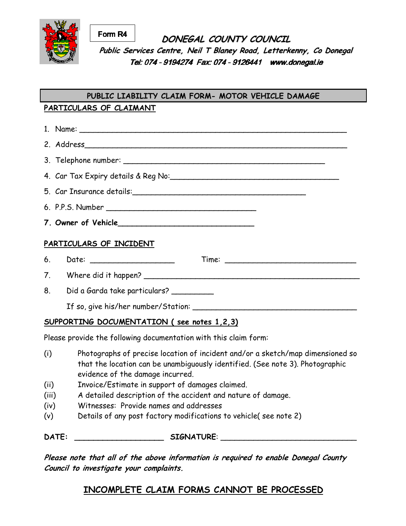

**DONEGAL COUNTY COUNCIL Public Services Centre, Neil <sup>T</sup> Blaney Road, Letterkenny, Co Donegal** Tel: 074 - 9194274 Fax: 074 - 9126441 www.donegal.ie Form R4

## **PARTICULARS OF CLAIMANT PUBLIC LIABILITY CLAIM FORM- MOTOR VEHICLE DAMAGE**

| PARTICULARS OF INCIDENT                    |                                            |
|--------------------------------------------|--------------------------------------------|
|                                            |                                            |
|                                            |                                            |
|                                            | 8. Did a Garda take particulars? _________ |
|                                            |                                            |
| SUPPORTING DOCUMENTATION (see notes 1,2,3) |                                            |

Please provide the following documentation with this claim form:

- (i) Photographs of precise location of incident and/or a sketch/map dimensioned so that the location can be unambiguously identified. (See note 3). Photographic evidence of the damage incurred.
- (ii) Invoice/Estimate in support of damages claimed.
- (iii) A detailed description of the accident and nature of damage.
- (iv) Witnesses: Provide names and addresses
- (v) Details of any post factory modifications to vehicle( see note 2)

DATE: \_\_\_\_\_\_\_\_\_\_\_\_\_\_\_\_\_\_\_\_\_\_\_\_\_\_\_\_ SIGNATURE: \_\_\_\_\_\_\_\_\_\_\_\_\_\_\_\_\_\_\_\_\_\_\_\_\_\_\_\_\_\_\_\_\_\_

 **Please note that all of the above information is required to enable Donegal County Council to investigate your complaints.** 

# **INCOMPLETE CLAIM FORMS CANNOT BE PROCESSED**